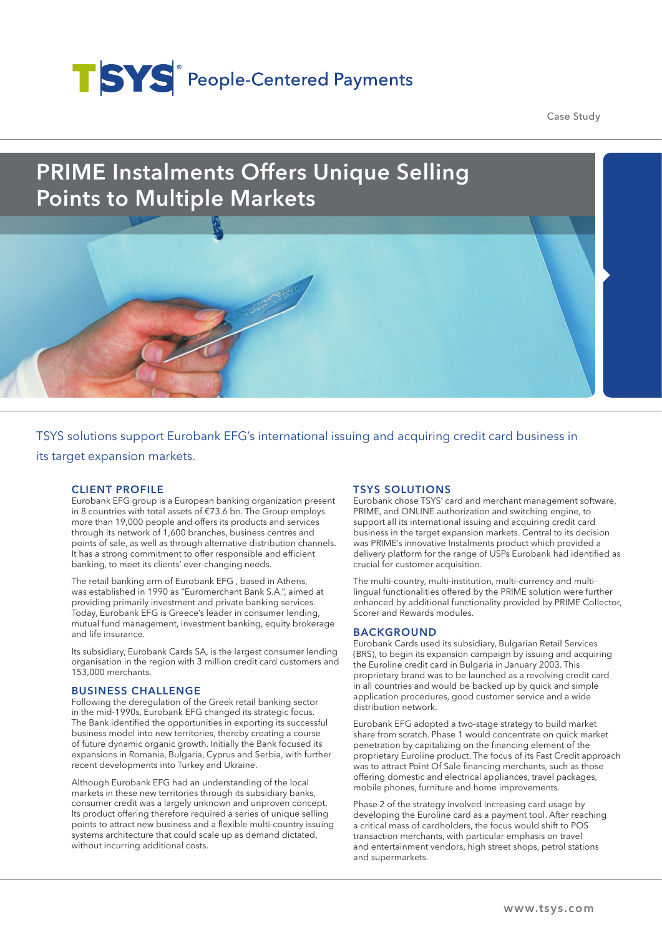# TSYS<sup>®</sup> People-Centered Payments

Case Study

## PRIME Instalments Offers Unique Selling Points to Multiple Markets

TSYS solutions support Eurobank EFG's international issuing and acquiring credit card business in its target expansion markets.

#### CLIENT PROFILE

Eurobank EFG group is a European banking organization present in 8 countries with total assets of €73.6 bn. The Group employs more than 19,000 people and offers its products and services through its network of 1,600 branches, business centres and points of sale, as well as through alternative distribution channels. It has a strong commitment to offer responsible and efficient banking, to meet its clients' ever-changing needs.

The retail banking arm of Eurobank EFG , based in Athens, was established in 1990 as "Euromerchant Bank S.A.", aimed at providing primarily investment and private banking services. Today, Eurobank EFG is Greece's leader in consumer lending, mutual fund management, investment banking, equity brokerage and life insurance.

Its subsidiary, Eurobank Cards SA, is the largest consumer lending organisation in the region with 3 million credit card customers and 153,000 merchants.

#### BUSINESS CHALLENGE

Following the deregulation of the Greek retail banking sector in the mid-1990s, Eurobank EFG changed its strategic focus. The Bank identified the opportunities in exporting its successful business model into new territories, thereby creating a course of future dynamic organic growth. Initially the Bank focused its expansions in Romania, Bulgaria, Cyprus and Serbia, with further recent developments into Turkey and Ukraine.

Although Eurobank EFG had an understanding of the local markets in these new territories through its subsidiary banks, consumer credit was a largely unknown and unproven concept. Its product offering therefore required a series of unique selling points to attract new business and a flexible multi-country issuing systems architecture that could scale up as demand dictated, without incurring additional costs.

#### TSYS SOLUTIONS

Eurobank chose TSYS' card and merchant management software, PRIME, and ONLINE authorization and switching engine, to support all its international issuing and acquiring credit card business in the target expansion markets. Central to its decision was PRIME's innovative Instalments product which provided a delivery platform for the range of USPs Eurobank had identified as crucial for customer acquisition.

The multi-country, multi-institution, multi-currency and multilingual functionalities offered by the PRIME solution were further enhanced by additional functionality provided by PRIME Collector, Scorer and Rewards modules.

#### BACKGROUND

Eurobank Cards used its subsidiary, Bulgarian Retail Services (BRS), to begin its expansion campaign by issuing and acquiring the Euroline credit card in Bulgaria in January 2003. This proprietary brand was to be launched as a revolving credit card in all countries and would be backed up by quick and simple application procedures, good customer service and a wide distribution network.

Eurobank EFG adopted a two-stage strategy to build market share from scratch. Phase 1 would concentrate on quick market penetration by capitalizing on the financing element of the proprietary Euroline product. The focus of its Fast Credit approach was to attract Point Of Sale financing merchants, such as those offering domestic and electrical appliances, travel packages, mobile phones, furniture and home improvements.

Phase 2 of the strategy involved increasing card usage by developing the Euroline card as a payment tool. After reaching a critical mass of cardholders, the focus would shift to POS transaction merchants, with particular emphasis on travel and entertainment vendors, high street shops, petrol stations and supermarkets.